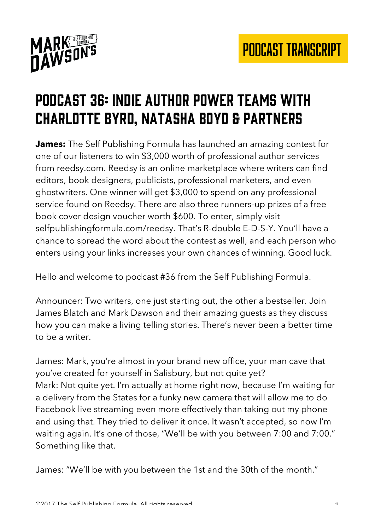

## Podcast 36: indie author power teams with charlotte byrd, Natasha Boyd & partners

**James:** The Self Publishing Formula has launched an amazing contest for one of our listeners to win \$3,000 worth of professional author services from reedsy.com. Reedsy is an online marketplace where writers can find editors, book designers, publicists, professional marketers, and even ghostwriters. One winner will get \$3,000 to spend on any professional service found on Reedsy. There are also three runners-up prizes of a free book cover design voucher worth \$600. To enter, simply visit selfpublishingformula.com/reedsy. That's R-double E-D-S-Y. You'll have a chance to spread the word about the contest as well, and each person who enters using your links increases your own chances of winning. Good luck.

Hello and welcome to podcast #36 from the Self Publishing Formula.

Announcer: Two writers, one just starting out, the other a bestseller. Join James Blatch and Mark Dawson and their amazing guests as they discuss how you can make a living telling stories. There's never been a better time to be a writer.

James: Mark, you're almost in your brand new office, your man cave that you've created for yourself in Salisbury, but not quite yet? Mark: Not quite yet. I'm actually at home right now, because I'm waiting for a delivery from the States for a funky new camera that will allow me to do Facebook live streaming even more effectively than taking out my phone and using that. They tried to deliver it once. It wasn't accepted, so now I'm waiting again. It's one of those, "We'll be with you between 7:00 and 7:00." Something like that.

James: "We'll be with you between the 1st and the 30th of the month."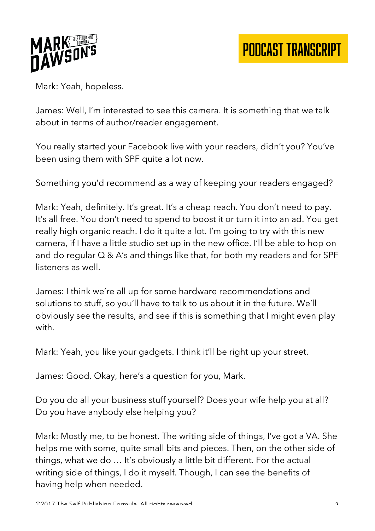

Mark: Yeah, hopeless.

James: Well, I'm interested to see this camera. It is something that we talk about in terms of author/reader engagement.

You really started your Facebook live with your readers, didn't you? You've been using them with SPF quite a lot now.

Something you'd recommend as a way of keeping your readers engaged?

Mark: Yeah, definitely. It's great. It's a cheap reach. You don't need to pay. It's all free. You don't need to spend to boost it or turn it into an ad. You get really high organic reach. I do it quite a lot. I'm going to try with this new camera, if I have a little studio set up in the new office. I'll be able to hop on and do regular Q & A's and things like that, for both my readers and for SPF listeners as well.

James: I think we're all up for some hardware recommendations and solutions to stuff, so you'll have to talk to us about it in the future. We'll obviously see the results, and see if this is something that I might even play with.

Mark: Yeah, you like your gadgets. I think it'll be right up your street.

James: Good. Okay, here's a question for you, Mark.

Do you do all your business stuff yourself? Does your wife help you at all? Do you have anybody else helping you?

Mark: Mostly me, to be honest. The writing side of things, I've got a VA. She helps me with some, quite small bits and pieces. Then, on the other side of things, what we do … It's obviously a little bit different. For the actual writing side of things, I do it myself. Though, I can see the benefits of having help when needed.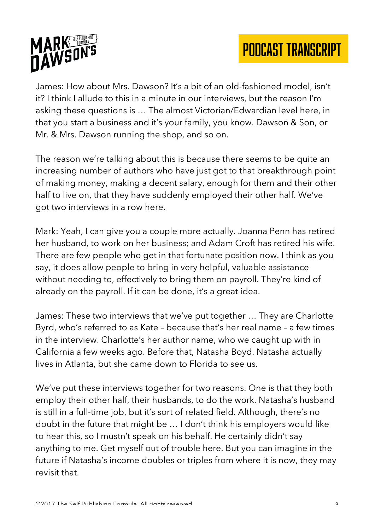

James: How about Mrs. Dawson? It's a bit of an old-fashioned model, isn't it? I think I allude to this in a minute in our interviews, but the reason I'm asking these questions is … The almost Victorian/Edwardian level here, in that you start a business and it's your family, you know. Dawson & Son, or Mr. & Mrs. Dawson running the shop, and so on.

The reason we're talking about this is because there seems to be quite an increasing number of authors who have just got to that breakthrough point of making money, making a decent salary, enough for them and their other half to live on, that they have suddenly employed their other half. We've got two interviews in a row here.

Mark: Yeah, I can give you a couple more actually. Joanna Penn has retired her husband, to work on her business; and Adam Croft has retired his wife. There are few people who get in that fortunate position now. I think as you say, it does allow people to bring in very helpful, valuable assistance without needing to, effectively to bring them on payroll. They're kind of already on the payroll. If it can be done, it's a great idea.

James: These two interviews that we've put together … They are Charlotte Byrd, who's referred to as Kate – because that's her real name – a few times in the interview. Charlotte's her author name, who we caught up with in California a few weeks ago. Before that, Natasha Boyd. Natasha actually lives in Atlanta, but she came down to Florida to see us.

We've put these interviews together for two reasons. One is that they both employ their other half, their husbands, to do the work. Natasha's husband is still in a full-time job, but it's sort of related field. Although, there's no doubt in the future that might be … I don't think his employers would like to hear this, so I mustn't speak on his behalf. He certainly didn't say anything to me. Get myself out of trouble here. But you can imagine in the future if Natasha's income doubles or triples from where it is now, they may revisit that.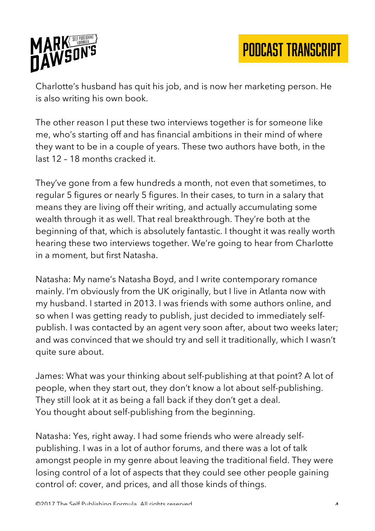

Charlotte's husband has quit his job, and is now her marketing person. He is also writing his own book.

The other reason I put these two interviews together is for someone like me, who's starting off and has financial ambitions in their mind of where they want to be in a couple of years. These two authors have both, in the last 12 – 18 months cracked it.

They've gone from a few hundreds a month, not even that sometimes, to regular 5 figures or nearly 5 figures. In their cases, to turn in a salary that means they are living off their writing, and actually accumulating some wealth through it as well. That real breakthrough. They're both at the beginning of that, which is absolutely fantastic. I thought it was really worth hearing these two interviews together. We're going to hear from Charlotte in a moment, but first Natasha.

Natasha: My name's Natasha Boyd, and I write contemporary romance mainly. I'm obviously from the UK originally, but I live in Atlanta now with my husband. I started in 2013. I was friends with some authors online, and so when I was getting ready to publish, just decided to immediately selfpublish. I was contacted by an agent very soon after, about two weeks later; and was convinced that we should try and sell it traditionally, which I wasn't quite sure about.

James: What was your thinking about self-publishing at that point? A lot of people, when they start out, they don't know a lot about self-publishing. They still look at it as being a fall back if they don't get a deal. You thought about self-publishing from the beginning.

Natasha: Yes, right away. I had some friends who were already selfpublishing. I was in a lot of author forums, and there was a lot of talk amongst people in my genre about leaving the traditional field. They were losing control of a lot of aspects that they could see other people gaining control of: cover, and prices, and all those kinds of things.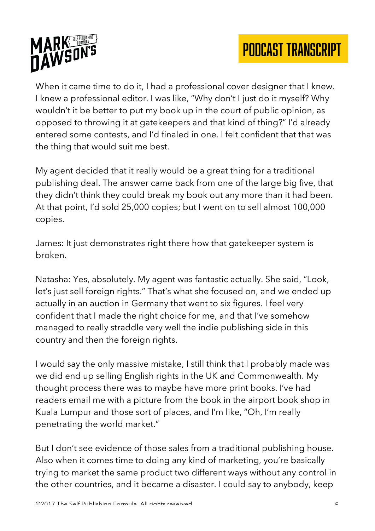

When it came time to do it, I had a professional cover designer that I knew. I knew a professional editor. I was like, "Why don't I just do it myself? Why wouldn't it be better to put my book up in the court of public opinion, as opposed to throwing it at gatekeepers and that kind of thing?" I'd already entered some contests, and I'd finaled in one. I felt confident that that was the thing that would suit me best.

My agent decided that it really would be a great thing for a traditional publishing deal. The answer came back from one of the large big five, that they didn't think they could break my book out any more than it had been. At that point, I'd sold 25,000 copies; but I went on to sell almost 100,000 copies.

James: It just demonstrates right there how that gatekeeper system is broken.

Natasha: Yes, absolutely. My agent was fantastic actually. She said, "Look, let's just sell foreign rights." That's what she focused on, and we ended up actually in an auction in Germany that went to six figures. I feel very confident that I made the right choice for me, and that I've somehow managed to really straddle very well the indie publishing side in this country and then the foreign rights.

I would say the only massive mistake, I still think that I probably made was we did end up selling English rights in the UK and Commonwealth. My thought process there was to maybe have more print books. I've had readers email me with a picture from the book in the airport book shop in Kuala Lumpur and those sort of places, and I'm like, "Oh, I'm really penetrating the world market."

But I don't see evidence of those sales from a traditional publishing house. Also when it comes time to doing any kind of marketing, you're basically trying to market the same product two different ways without any control in the other countries, and it became a disaster. I could say to anybody, keep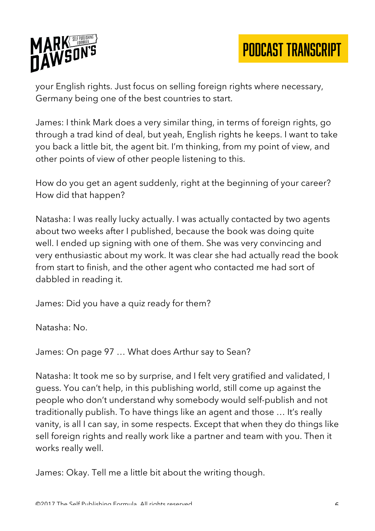

your English rights. Just focus on selling foreign rights where necessary, Germany being one of the best countries to start.

James: I think Mark does a very similar thing, in terms of foreign rights, go through a trad kind of deal, but yeah, English rights he keeps. I want to take you back a little bit, the agent bit. I'm thinking, from my point of view, and other points of view of other people listening to this.

How do you get an agent suddenly, right at the beginning of your career? How did that happen?

Natasha: I was really lucky actually. I was actually contacted by two agents about two weeks after I published, because the book was doing quite well. I ended up signing with one of them. She was very convincing and very enthusiastic about my work. It was clear she had actually read the book from start to finish, and the other agent who contacted me had sort of dabbled in reading it.

James: Did you have a quiz ready for them?

Natasha: No.

James: On page 97 … What does Arthur say to Sean?

Natasha: It took me so by surprise, and I felt very gratified and validated, I guess. You can't help, in this publishing world, still come up against the people who don't understand why somebody would self-publish and not traditionally publish. To have things like an agent and those … It's really vanity, is all I can say, in some respects. Except that when they do things like sell foreign rights and really work like a partner and team with you. Then it works really well.

James: Okay. Tell me a little bit about the writing though.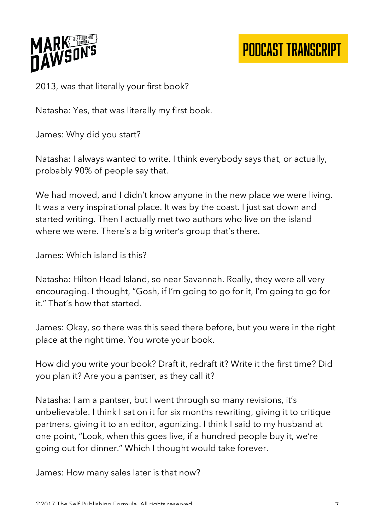

2013, was that literally your first book?

Natasha: Yes, that was literally my first book.

James: Why did you start?

Natasha: I always wanted to write. I think everybody says that, or actually, probably 90% of people say that.

We had moved, and I didn't know anyone in the new place we were living. It was a very inspirational place. It was by the coast. I just sat down and started writing. Then I actually met two authors who live on the island where we were. There's a big writer's group that's there.

James: Which island is this?

Natasha: Hilton Head Island, so near Savannah. Really, they were all very encouraging. I thought, "Gosh, if I'm going to go for it, I'm going to go for it." That's how that started.

James: Okay, so there was this seed there before, but you were in the right place at the right time. You wrote your book.

How did you write your book? Draft it, redraft it? Write it the first time? Did you plan it? Are you a pantser, as they call it?

Natasha: I am a pantser, but I went through so many revisions, it's unbelievable. I think I sat on it for six months rewriting, giving it to critique partners, giving it to an editor, agonizing. I think I said to my husband at one point, "Look, when this goes live, if a hundred people buy it, we're going out for dinner." Which I thought would take forever.

James: How many sales later is that now?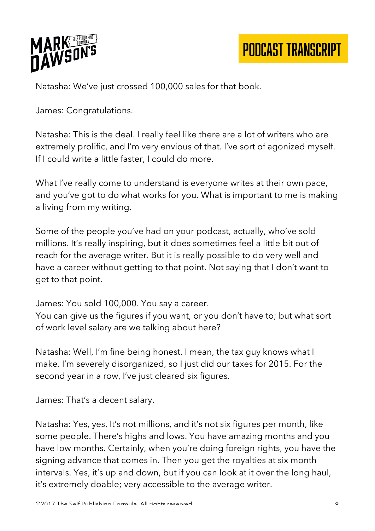

Natasha: We've just crossed 100,000 sales for that book.

James: Congratulations.

Natasha: This is the deal. I really feel like there are a lot of writers who are extremely prolific, and I'm very envious of that. I've sort of agonized myself. If I could write a little faster, I could do more.

What I've really come to understand is everyone writes at their own pace, and you've got to do what works for you. What is important to me is making a living from my writing.

Some of the people you've had on your podcast, actually, who've sold millions. It's really inspiring, but it does sometimes feel a little bit out of reach for the average writer. But it is really possible to do very well and have a career without getting to that point. Not saying that I don't want to get to that point.

James: You sold 100,000. You say a career.

You can give us the figures if you want, or you don't have to; but what sort of work level salary are we talking about here?

Natasha: Well, I'm fine being honest. I mean, the tax guy knows what I make. I'm severely disorganized, so I just did our taxes for 2015. For the second year in a row, I've just cleared six figures.

James: That's a decent salary.

Natasha: Yes, yes. It's not millions, and it's not six figures per month, like some people. There's highs and lows. You have amazing months and you have low months. Certainly, when you're doing foreign rights, you have the signing advance that comes in. Then you get the royalties at six month intervals. Yes, it's up and down, but if you can look at it over the long haul, it's extremely doable; very accessible to the average writer.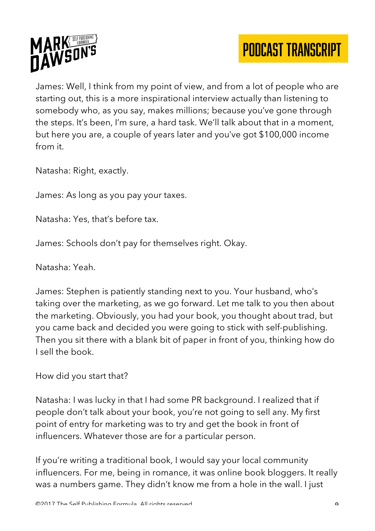

James: Well, I think from my point of view, and from a lot of people who are starting out, this is a more inspirational interview actually than listening to somebody who, as you say, makes millions; because you've gone through the steps. It's been, I'm sure, a hard task. We'll talk about that in a moment, but here you are, a couple of years later and you've got \$100,000 income from it.

Natasha: Right, exactly.

James: As long as you pay your taxes.

Natasha: Yes, that's before tax.

James: Schools don't pay for themselves right. Okay.

Natasha: Yeah.

James: Stephen is patiently standing next to you. Your husband, who's taking over the marketing, as we go forward. Let me talk to you then about the marketing. Obviously, you had your book, you thought about trad, but you came back and decided you were going to stick with self-publishing. Then you sit there with a blank bit of paper in front of you, thinking how do I sell the book.

How did you start that?

Natasha: I was lucky in that I had some PR background. I realized that if people don't talk about your book, you're not going to sell any. My first point of entry for marketing was to try and get the book in front of influencers. Whatever those are for a particular person.

If you're writing a traditional book, I would say your local community influencers. For me, being in romance, it was online book bloggers. It really was a numbers game. They didn't know me from a hole in the wall. I just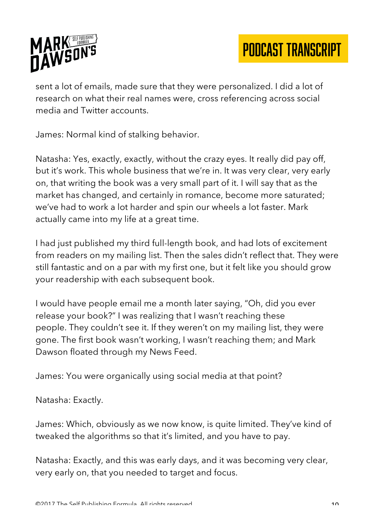

sent a lot of emails, made sure that they were personalized. I did a lot of research on what their real names were, cross referencing across social media and Twitter accounts.

James: Normal kind of stalking behavior.

Natasha: Yes, exactly, exactly, without the crazy eyes. It really did pay off, but it's work. This whole business that we're in. It was very clear, very early on, that writing the book was a very small part of it. I will say that as the market has changed, and certainly in romance, become more saturated; we've had to work a lot harder and spin our wheels a lot faster. Mark actually came into my life at a great time.

I had just published my third full-length book, and had lots of excitement from readers on my mailing list. Then the sales didn't reflect that. They were still fantastic and on a par with my first one, but it felt like you should grow your readership with each subsequent book.

I would have people email me a month later saying, "Oh, did you ever release your book?" I was realizing that I wasn't reaching these people. They couldn't see it. If they weren't on my mailing list, they were gone. The first book wasn't working, I wasn't reaching them; and Mark Dawson floated through my News Feed.

James: You were organically using social media at that point?

Natasha: Exactly.

James: Which, obviously as we now know, is quite limited. They've kind of tweaked the algorithms so that it's limited, and you have to pay.

Natasha: Exactly, and this was early days, and it was becoming very clear, very early on, that you needed to target and focus.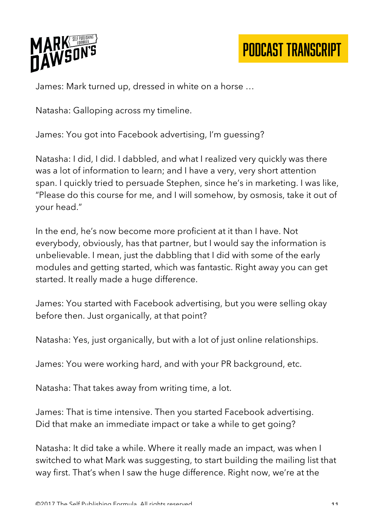

James: Mark turned up, dressed in white on a horse …

Natasha: Galloping across my timeline.

James: You got into Facebook advertising, I'm guessing?

Natasha: I did, I did. I dabbled, and what I realized very quickly was there was a lot of information to learn; and I have a very, very short attention span. I quickly tried to persuade Stephen, since he's in marketing. I was like, "Please do this course for me, and I will somehow, by osmosis, take it out of your head."

In the end, he's now become more proficient at it than I have. Not everybody, obviously, has that partner, but I would say the information is unbelievable. I mean, just the dabbling that I did with some of the early modules and getting started, which was fantastic. Right away you can get started. It really made a huge difference.

James: You started with Facebook advertising, but you were selling okay before then. Just organically, at that point?

Natasha: Yes, just organically, but with a lot of just online relationships.

James: You were working hard, and with your PR background, etc.

Natasha: That takes away from writing time, a lot.

James: That is time intensive. Then you started Facebook advertising. Did that make an immediate impact or take a while to get going?

Natasha: It did take a while. Where it really made an impact, was when I switched to what Mark was suggesting, to start building the mailing list that way first. That's when I saw the huge difference. Right now, we're at the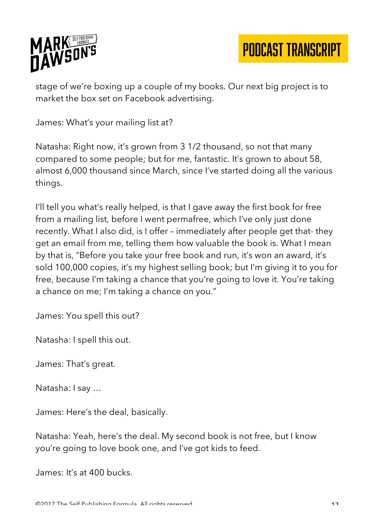

stage of we're boxing up a couple of my books. Our next big project is to market the box set on Facebook advertising.

James: What's your mailing list at?

Natasha: Right now, it's grown from 3 1/2 thousand, so not that many compared to some people; but for me, fantastic. It's grown to about 58, almost 6,000 thousand since March, since I've started doing all the various things.

I'll tell you what's really helped, is that I gave away the first book for free from a mailing list, before I went permafree, which I've only just done recently. What I also did, is I offer – immediately after people get that- they get an email from me, telling them how valuable the book is. What I mean by that is, "Before you take your free book and run, it's won an award, it's sold 100,000 copies, it's my highest selling book; but I'm giving it to you for free, because I'm taking a chance that you're going to love it. You're taking a chance on me; I'm taking a chance on you."

James: You spell this out?

Natasha: I spell this out.

James: That's great.

Natasha: I say …

James: Here's the deal, basically.

Natasha: Yeah, here's the deal. My second book is not free, but I know you're going to love book one, and I've got kids to feed.

James: It's at 400 bucks.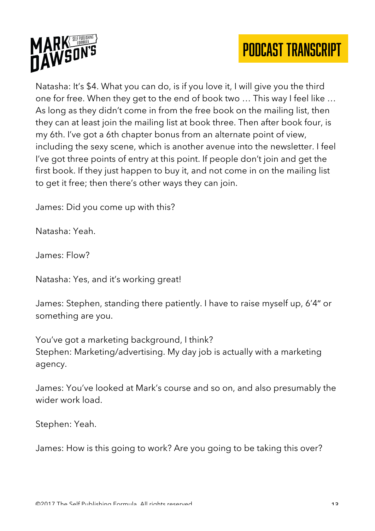



Natasha: It's \$4. What you can do, is if you love it, I will give you the third one for free. When they get to the end of book two … This way I feel like … As long as they didn't come in from the free book on the mailing list, then they can at least join the mailing list at book three. Then after book four, is my 6th. I've got a 6th chapter bonus from an alternate point of view, including the sexy scene, which is another avenue into the newsletter. I feel I've got three points of entry at this point. If people don't join and get the first book. If they just happen to buy it, and not come in on the mailing list to get it free; then there's other ways they can join.

James: Did you come up with this?

Natasha: Yeah.

James: Flow?

Natasha: Yes, and it's working great!

James: Stephen, standing there patiently. I have to raise myself up, 6'4" or something are you.

You've got a marketing background, I think? Stephen: Marketing/advertising. My day job is actually with a marketing agency.

James: You've looked at Mark's course and so on, and also presumably the wider work load.

Stephen: Yeah.

James: How is this going to work? Are you going to be taking this over?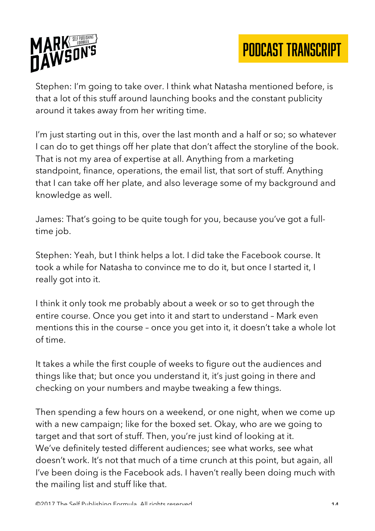

Stephen: I'm going to take over. I think what Natasha mentioned before, is that a lot of this stuff around launching books and the constant publicity around it takes away from her writing time.

I'm just starting out in this, over the last month and a half or so; so whatever I can do to get things off her plate that don't affect the storyline of the book. That is not my area of expertise at all. Anything from a marketing standpoint, finance, operations, the email list, that sort of stuff. Anything that I can take off her plate, and also leverage some of my background and knowledge as well.

James: That's going to be quite tough for you, because you've got a fulltime job.

Stephen: Yeah, but I think helps a lot. I did take the Facebook course. It took a while for Natasha to convince me to do it, but once I started it, I really got into it.

I think it only took me probably about a week or so to get through the entire course. Once you get into it and start to understand – Mark even mentions this in the course – once you get into it, it doesn't take a whole lot of time.

It takes a while the first couple of weeks to figure out the audiences and things like that; but once you understand it, it's just going in there and checking on your numbers and maybe tweaking a few things.

Then spending a few hours on a weekend, or one night, when we come up with a new campaign; like for the boxed set. Okay, who are we going to target and that sort of stuff. Then, you're just kind of looking at it. We've definitely tested different audiences; see what works, see what doesn't work. It's not that much of a time crunch at this point, but again, all I've been doing is the Facebook ads. I haven't really been doing much with the mailing list and stuff like that.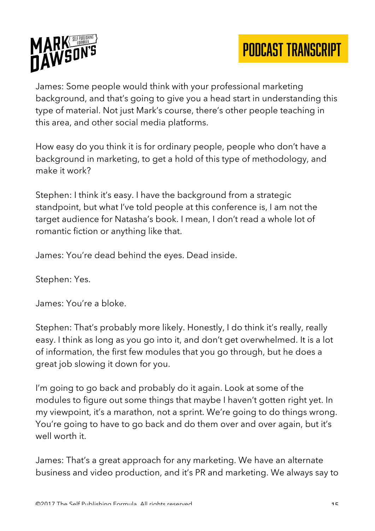



James: Some people would think with your professional marketing background, and that's going to give you a head start in understanding this type of material. Not just Mark's course, there's other people teaching in this area, and other social media platforms.

How easy do you think it is for ordinary people, people who don't have a background in marketing, to get a hold of this type of methodology, and make it work?

Stephen: I think it's easy. I have the background from a strategic standpoint, but what I've told people at this conference is, I am not the target audience for Natasha's book. I mean, I don't read a whole lot of romantic fiction or anything like that.

James: You're dead behind the eyes. Dead inside.

Stephen: Yes.

James: You're a bloke.

Stephen: That's probably more likely. Honestly, I do think it's really, really easy. I think as long as you go into it, and don't get overwhelmed. It is a lot of information, the first few modules that you go through, but he does a great job slowing it down for you.

I'm going to go back and probably do it again. Look at some of the modules to figure out some things that maybe I haven't gotten right yet. In my viewpoint, it's a marathon, not a sprint. We're going to do things wrong. You're going to have to go back and do them over and over again, but it's well worth it.

James: That's a great approach for any marketing. We have an alternate business and video production, and it's PR and marketing. We always say to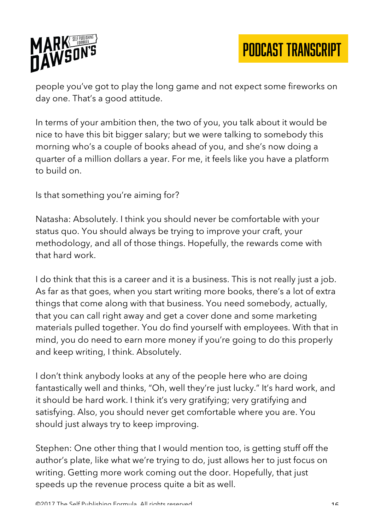

people you've got to play the long game and not expect some fireworks on day one. That's a good attitude.

In terms of your ambition then, the two of you, you talk about it would be nice to have this bit bigger salary; but we were talking to somebody this morning who's a couple of books ahead of you, and she's now doing a quarter of a million dollars a year. For me, it feels like you have a platform to build on.

Is that something you're aiming for?

Natasha: Absolutely. I think you should never be comfortable with your status quo. You should always be trying to improve your craft, your methodology, and all of those things. Hopefully, the rewards come with that hard work.

I do think that this is a career and it is a business. This is not really just a job. As far as that goes, when you start writing more books, there's a lot of extra things that come along with that business. You need somebody, actually, that you can call right away and get a cover done and some marketing materials pulled together. You do find yourself with employees. With that in mind, you do need to earn more money if you're going to do this properly and keep writing, I think. Absolutely.

I don't think anybody looks at any of the people here who are doing fantastically well and thinks, "Oh, well they're just lucky." It's hard work, and it should be hard work. I think it's very gratifying; very gratifying and satisfying. Also, you should never get comfortable where you are. You should just always try to keep improving.

Stephen: One other thing that I would mention too, is getting stuff off the author's plate, like what we're trying to do, just allows her to just focus on writing. Getting more work coming out the door. Hopefully, that just speeds up the revenue process quite a bit as well.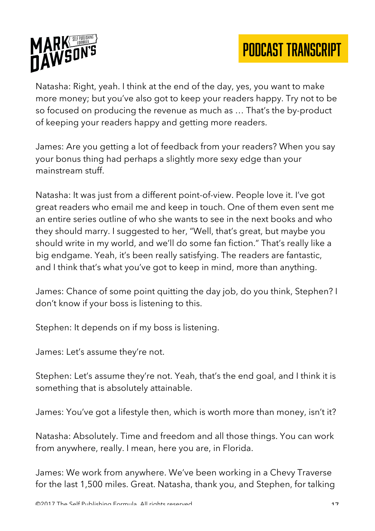



Natasha: Right, yeah. I think at the end of the day, yes, you want to make more money; but you've also got to keep your readers happy. Try not to be so focused on producing the revenue as much as … That's the by-product of keeping your readers happy and getting more readers.

James: Are you getting a lot of feedback from your readers? When you say your bonus thing had perhaps a slightly more sexy edge than your mainstream stuff.

Natasha: It was just from a different point-of-view. People love it. I've got great readers who email me and keep in touch. One of them even sent me an entire series outline of who she wants to see in the next books and who they should marry. I suggested to her, "Well, that's great, but maybe you should write in my world, and we'll do some fan fiction." That's really like a big endgame. Yeah, it's been really satisfying. The readers are fantastic, and I think that's what you've got to keep in mind, more than anything.

James: Chance of some point quitting the day job, do you think, Stephen? I don't know if your boss is listening to this.

Stephen: It depends on if my boss is listening.

James: Let's assume they're not.

Stephen: Let's assume they're not. Yeah, that's the end goal, and I think it is something that is absolutely attainable.

James: You've got a lifestyle then, which is worth more than money, isn't it?

Natasha: Absolutely. Time and freedom and all those things. You can work from anywhere, really. I mean, here you are, in Florida.

James: We work from anywhere. We've been working in a Chevy Traverse for the last 1,500 miles. Great. Natasha, thank you, and Stephen, for talking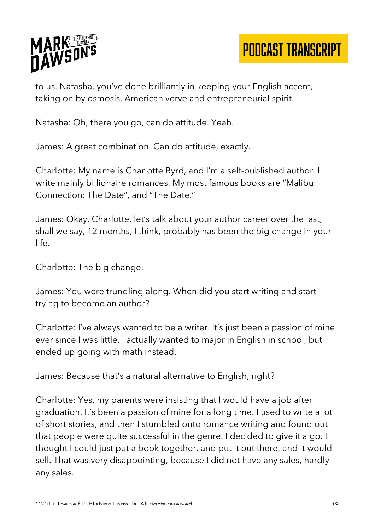

to us. Natasha, you've done brilliantly in keeping your English accent, taking on by osmosis, American verve and entrepreneurial spirit.

Natasha: Oh, there you go, can do attitude. Yeah.

James: A great combination. Can do attitude, exactly.

Charlotte: My name is Charlotte Byrd, and I'm a self-published author. I write mainly billionaire romances. My most famous books are "Malibu Connection: The Date", and "The Date."

James: Okay, Charlotte, let's talk about your author career over the last, shall we say, 12 months, I think, probably has been the big change in your life.

Charlotte: The big change.

James: You were trundling along. When did you start writing and start trying to become an author?

Charlotte: I've always wanted to be a writer. It's just been a passion of mine ever since I was little. I actually wanted to major in English in school, but ended up going with math instead.

James: Because that's a natural alternative to English, right?

Charlotte: Yes, my parents were insisting that I would have a job after graduation. It's been a passion of mine for a long time. I used to write a lot of short stories, and then I stumbled onto romance writing and found out that people were quite successful in the genre. I decided to give it a go. I thought I could just put a book together, and put it out there, and it would sell. That was very disappointing, because I did not have any sales, hardly any sales.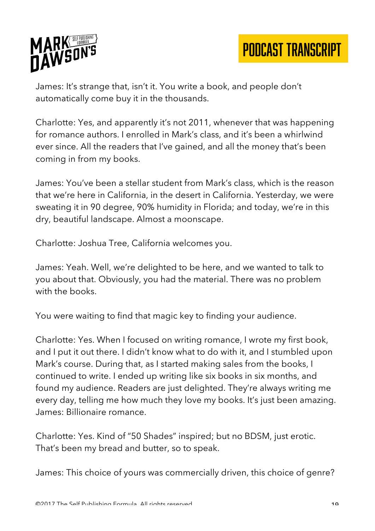

James: It's strange that, isn't it. You write a book, and people don't automatically come buy it in the thousands.

Charlotte: Yes, and apparently it's not 2011, whenever that was happening for romance authors. I enrolled in Mark's class, and it's been a whirlwind ever since. All the readers that I've gained, and all the money that's been coming in from my books.

James: You've been a stellar student from Mark's class, which is the reason that we're here in California, in the desert in California. Yesterday, we were sweating it in 90 degree, 90% humidity in Florida; and today, we're in this dry, beautiful landscape. Almost a moonscape.

Charlotte: Joshua Tree, California welcomes you.

James: Yeah. Well, we're delighted to be here, and we wanted to talk to you about that. Obviously, you had the material. There was no problem with the books.

You were waiting to find that magic key to finding your audience.

Charlotte: Yes. When I focused on writing romance, I wrote my first book, and I put it out there. I didn't know what to do with it, and I stumbled upon Mark's course. During that, as I started making sales from the books, I continued to write. I ended up writing like six books in six months, and found my audience. Readers are just delighted. They're always writing me every day, telling me how much they love my books. It's just been amazing. James: Billionaire romance.

Charlotte: Yes. Kind of "50 Shades" inspired; but no BDSM, just erotic. That's been my bread and butter, so to speak.

James: This choice of yours was commercially driven, this choice of genre?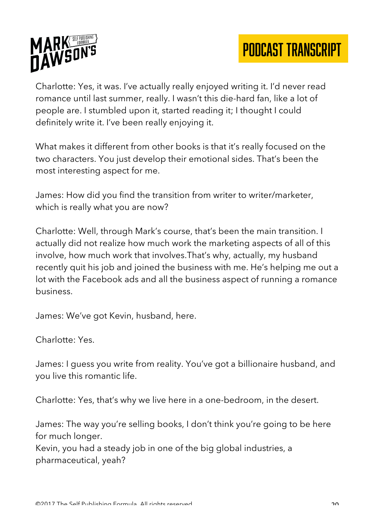

Charlotte: Yes, it was. I've actually really enjoyed writing it. I'd never read romance until last summer, really. I wasn't this die-hard fan, like a lot of people are. I stumbled upon it, started reading it; I thought I could definitely write it. I've been really enjoying it.

What makes it different from other books is that it's really focused on the two characters. You just develop their emotional sides. That's been the most interesting aspect for me.

James: How did you find the transition from writer to writer/marketer, which is really what you are now?

Charlotte: Well, through Mark's course, that's been the main transition. I actually did not realize how much work the marketing aspects of all of this involve, how much work that involves.That's why, actually, my husband recently quit his job and joined the business with me. He's helping me out a lot with the Facebook ads and all the business aspect of running a romance business.

James: We've got Kevin, husband, here.

Charlotte: Yes.

James: I guess you write from reality. You've got a billionaire husband, and you live this romantic life.

Charlotte: Yes, that's why we live here in a one-bedroom, in the desert.

James: The way you're selling books, I don't think you're going to be here for much longer.

Kevin, you had a steady job in one of the big global industries, a pharmaceutical, yeah?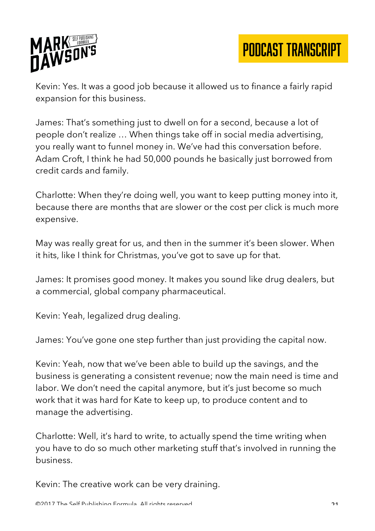

Kevin: Yes. It was a good job because it allowed us to finance a fairly rapid expansion for this business.

James: That's something just to dwell on for a second, because a lot of people don't realize … When things take off in social media advertising, you really want to funnel money in. We've had this conversation before. Adam Croft, I think he had 50,000 pounds he basically just borrowed from credit cards and family.

Charlotte: When they're doing well, you want to keep putting money into it, because there are months that are slower or the cost per click is much more expensive.

May was really great for us, and then in the summer it's been slower. When it hits, like I think for Christmas, you've got to save up for that.

James: It promises good money. It makes you sound like drug dealers, but a commercial, global company pharmaceutical.

Kevin: Yeah, legalized drug dealing.

James: You've gone one step further than just providing the capital now.

Kevin: Yeah, now that we've been able to build up the savings, and the business is generating a consistent revenue; now the main need is time and labor. We don't need the capital anymore, but it's just become so much work that it was hard for Kate to keep up, to produce content and to manage the advertising.

Charlotte: Well, it's hard to write, to actually spend the time writing when you have to do so much other marketing stuff that's involved in running the business.

Kevin: The creative work can be very draining.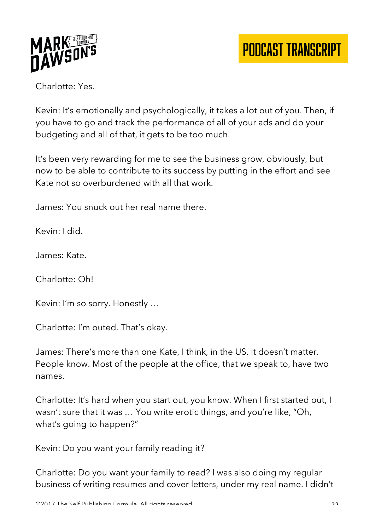

Charlotte: Yes.

Kevin: It's emotionally and psychologically, it takes a lot out of you. Then, if you have to go and track the performance of all of your ads and do your budgeting and all of that, it gets to be too much.

It's been very rewarding for me to see the business grow, obviously, but now to be able to contribute to its success by putting in the effort and see Kate not so overburdened with all that work.

James: You snuck out her real name there.

Kevin: I did.

James: Kate.

Charlotte: Oh!

Kevin: I'm so sorry. Honestly …

Charlotte: I'm outed. That's okay.

James: There's more than one Kate, I think, in the US. It doesn't matter. People know. Most of the people at the office, that we speak to, have two names.

Charlotte: It's hard when you start out, you know. When I first started out, I wasn't sure that it was … You write erotic things, and you're like, "Oh, what's going to happen?"

Kevin: Do you want your family reading it?

Charlotte: Do you want your family to read? I was also doing my regular business of writing resumes and cover letters, under my real name. I didn't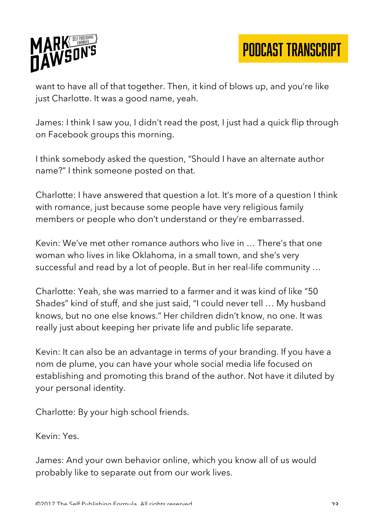

want to have all of that together. Then, it kind of blows up, and you're like just Charlotte. It was a good name, yeah.

James: I think I saw you, I didn't read the post, I just had a quick flip through on Facebook groups this morning.

I think somebody asked the question, "Should I have an alternate author name?" I think someone posted on that.

Charlotte: I have answered that question a lot. It's more of a question I think with romance, just because some people have very religious family members or people who don't understand or they're embarrassed.

Kevin: We've met other romance authors who live in … There's that one woman who lives in like Oklahoma, in a small town, and she's very successful and read by a lot of people. But in her real-life community …

Charlotte: Yeah, she was married to a farmer and it was kind of like "50 Shades" kind of stuff, and she just said, "I could never tell … My husband knows, but no one else knows." Her children didn't know, no one. It was really just about keeping her private life and public life separate.

Kevin: It can also be an advantage in terms of your branding. If you have a nom de plume, you can have your whole social media life focused on establishing and promoting this brand of the author. Not have it diluted by your personal identity.

Charlotte: By your high school friends.

Kevin: Yes.

James: And your own behavior online, which you know all of us would probably like to separate out from our work lives.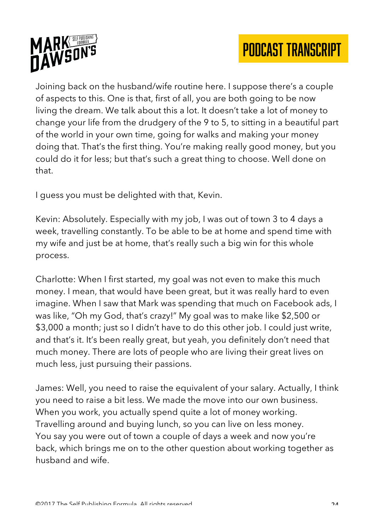



Joining back on the husband/wife routine here. I suppose there's a couple of aspects to this. One is that, first of all, you are both going to be now living the dream. We talk about this a lot. It doesn't take a lot of money to change your life from the drudgery of the 9 to 5, to sitting in a beautiful part of the world in your own time, going for walks and making your money doing that. That's the first thing. You're making really good money, but you could do it for less; but that's such a great thing to choose. Well done on that.

I guess you must be delighted with that, Kevin.

Kevin: Absolutely. Especially with my job, I was out of town 3 to 4 days a week, travelling constantly. To be able to be at home and spend time with my wife and just be at home, that's really such a big win for this whole process.

Charlotte: When I first started, my goal was not even to make this much money. I mean, that would have been great, but it was really hard to even imagine. When I saw that Mark was spending that much on Facebook ads, I was like, "Oh my God, that's crazy!" My goal was to make like \$2,500 or \$3,000 a month; just so I didn't have to do this other job. I could just write, and that's it. It's been really great, but yeah, you definitely don't need that much money. There are lots of people who are living their great lives on much less, just pursuing their passions.

James: Well, you need to raise the equivalent of your salary. Actually, I think you need to raise a bit less. We made the move into our own business. When you work, you actually spend quite a lot of money working. Travelling around and buying lunch, so you can live on less money. You say you were out of town a couple of days a week and now you're back, which brings me on to the other question about working together as husband and wife.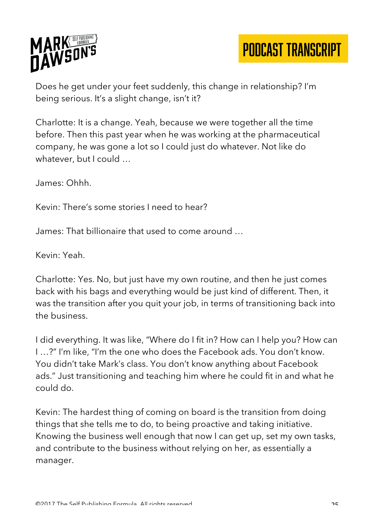

Does he get under your feet suddenly, this change in relationship? I'm being serious. It's a slight change, isn't it?

Charlotte: It is a change. Yeah, because we were together all the time before. Then this past year when he was working at the pharmaceutical company, he was gone a lot so I could just do whatever. Not like do whatever, but I could ...

James: Ohhh.

Kevin: There's some stories I need to hear?

James: That billionaire that used to come around …

Kevin: Yeah.

Charlotte: Yes. No, but just have my own routine, and then he just comes back with his bags and everything would be just kind of different. Then, it was the transition after you quit your job, in terms of transitioning back into the business.

I did everything. It was like, "Where do I fit in? How can I help you? How can I …?" I'm like, "I'm the one who does the Facebook ads. You don't know. You didn't take Mark's class. You don't know anything about Facebook ads." Just transitioning and teaching him where he could fit in and what he could do.

Kevin: The hardest thing of coming on board is the transition from doing things that she tells me to do, to being proactive and taking initiative. Knowing the business well enough that now I can get up, set my own tasks, and contribute to the business without relying on her, as essentially a manager.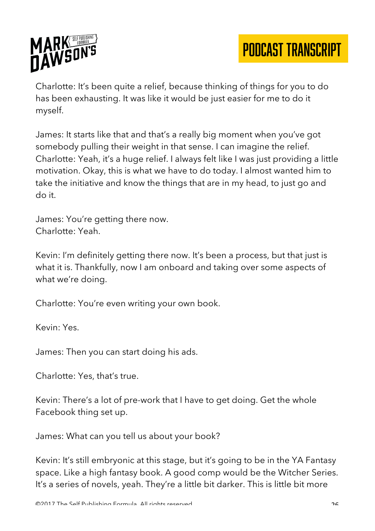

Charlotte: It's been quite a relief, because thinking of things for you to do has been exhausting. It was like it would be just easier for me to do it myself.

James: It starts like that and that's a really big moment when you've got somebody pulling their weight in that sense. I can imagine the relief. Charlotte: Yeah, it's a huge relief. I always felt like I was just providing a little motivation. Okay, this is what we have to do today. I almost wanted him to take the initiative and know the things that are in my head, to just go and do it.

James: You're getting there now. Charlotte: Yeah.

Kevin: I'm definitely getting there now. It's been a process, but that just is what it is. Thankfully, now I am onboard and taking over some aspects of what we're doing.

Charlotte: You're even writing your own book.

Kevin: Yes.

James: Then you can start doing his ads.

Charlotte: Yes, that's true.

Kevin: There's a lot of pre-work that I have to get doing. Get the whole Facebook thing set up.

James: What can you tell us about your book?

Kevin: It's still embryonic at this stage, but it's going to be in the YA Fantasy space. Like a high fantasy book. A good comp would be the Witcher Series. It's a series of novels, yeah. They're a little bit darker. This is little bit more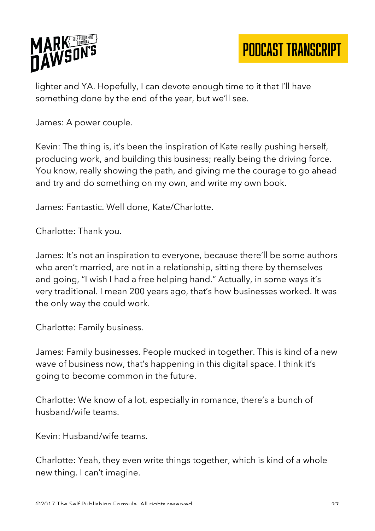

lighter and YA. Hopefully, I can devote enough time to it that I'll have something done by the end of the year, but we'll see.

James: A power couple.

Kevin: The thing is, it's been the inspiration of Kate really pushing herself, producing work, and building this business; really being the driving force. You know, really showing the path, and giving me the courage to go ahead and try and do something on my own, and write my own book.

James: Fantastic. Well done, Kate/Charlotte.

Charlotte: Thank you.

James: It's not an inspiration to everyone, because there'll be some authors who aren't married, are not in a relationship, sitting there by themselves and going, "I wish I had a free helping hand." Actually, in some ways it's very traditional. I mean 200 years ago, that's how businesses worked. It was the only way the could work.

Charlotte: Family business.

James: Family businesses. People mucked in together. This is kind of a new wave of business now, that's happening in this digital space. I think it's going to become common in the future.

Charlotte: We know of a lot, especially in romance, there's a bunch of husband/wife teams.

Kevin: Husband/wife teams.

Charlotte: Yeah, they even write things together, which is kind of a whole new thing. I can't imagine.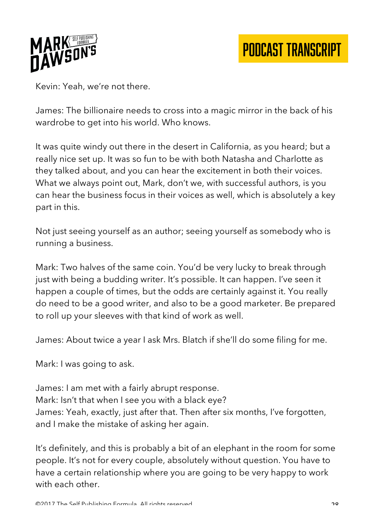

Kevin: Yeah, we're not there.

James: The billionaire needs to cross into a magic mirror in the back of his wardrobe to get into his world. Who knows.

It was quite windy out there in the desert in California, as you heard; but a really nice set up. It was so fun to be with both Natasha and Charlotte as they talked about, and you can hear the excitement in both their voices. What we always point out, Mark, don't we, with successful authors, is you can hear the business focus in their voices as well, which is absolutely a key part in this.

Not just seeing yourself as an author; seeing yourself as somebody who is running a business.

Mark: Two halves of the same coin. You'd be very lucky to break through just with being a budding writer. It's possible. It can happen. I've seen it happen a couple of times, but the odds are certainly against it. You really do need to be a good writer, and also to be a good marketer. Be prepared to roll up your sleeves with that kind of work as well.

James: About twice a year I ask Mrs. Blatch if she'll do some filing for me.

Mark: I was going to ask.

James: I am met with a fairly abrupt response. Mark: Isn't that when I see you with a black eye? James: Yeah, exactly, just after that. Then after six months, I've forgotten, and I make the mistake of asking her again.

It's definitely, and this is probably a bit of an elephant in the room for some people. It's not for every couple, absolutely without question. You have to have a certain relationship where you are going to be very happy to work with each other.